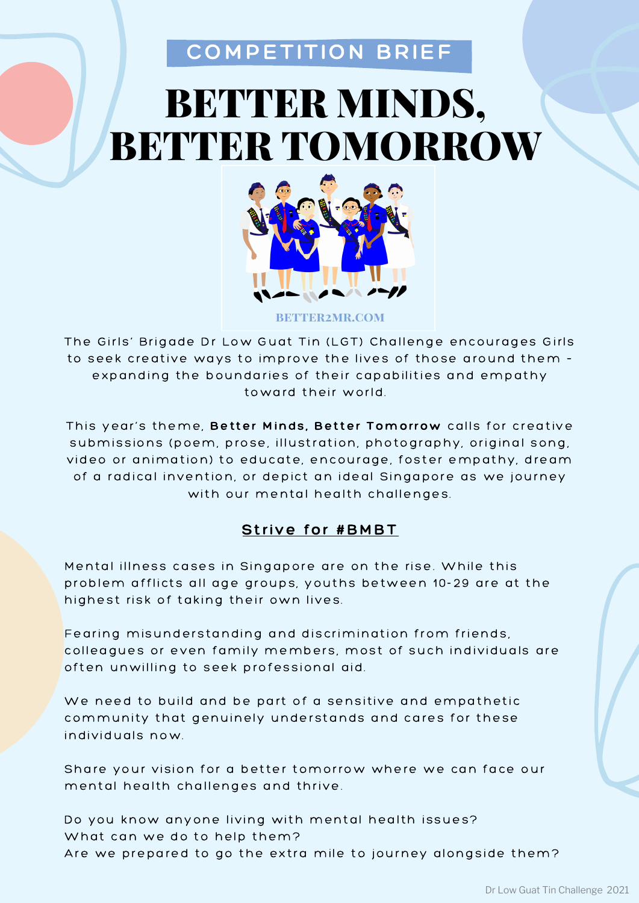### COMPETITION BRIEF

## BETTER MINDS, BETTER TOMORROW



**BETTER2MR.COM** 

The Girls' Brigade Dr Low Guat Tin (LGT) Challenge encourages Girls to seek creative ways to improve the lives of those around them expanding the boundaries of their capabilities and empathy toward their world.

This year's theme, Better Minds, Better Tomorrow calls for creative submissions (poem, prose, illustration, photography, original song, video or animation) to educate, encourage, foster empathy, dream of a radical invention, or depict an ideal Singapore as we journey with our mental health challenges.

#### Strive for #BMBT

Mental illness cases in Singapore are on the rise. While this problem afflicts all age groups, youths between 10-29 are at the highest risk of taking their own lives.

Fearing misunderstanding and discrimination from friends, colleagues or even family members, most of such individuals are often unwilling to seek professional aid.

We need to build and be part of a sensitive and empathetic community that genuinely understands and cares for these individuals now.

Share your vision for a better tomorrow where we can face our mental health challenges and thrive.

Do you know anyone living with mental health issues? What can we do to help them? Are we prepared to go the extra mile to journey alongside them?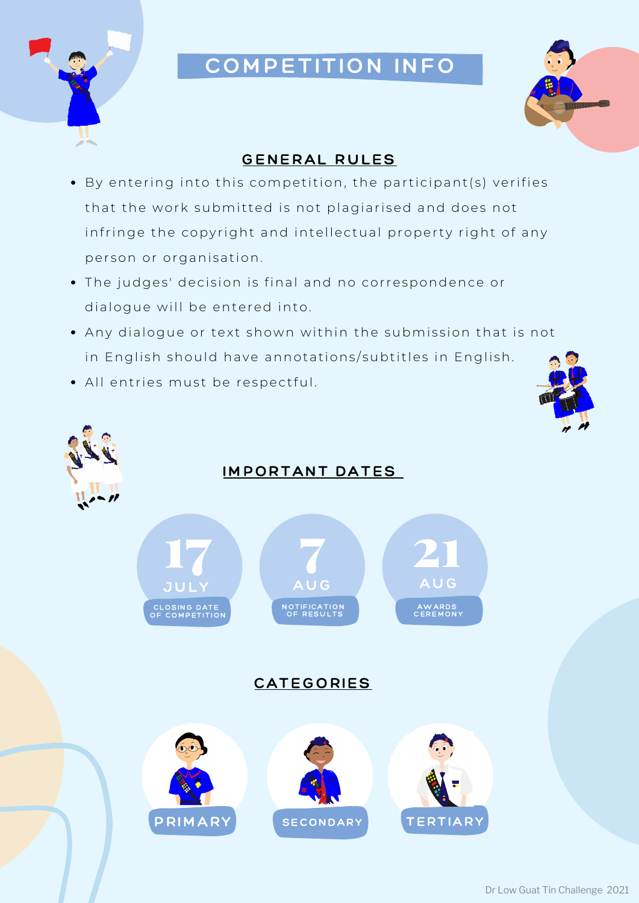

## COMPETITION INFO



#### GENERAL RULES

- By entering into this competition, the participant(s) verifies that the work submitted is not plagiarised and does not infringe the copyright and intellectual property right of any person or organisation.
- The judges' decision is final and no correspondence or dialogue will be entered into.
- Any dialogue or text shown within the submission that is not in English should have annotations/subtitles in English.
- All entries must be respectful.



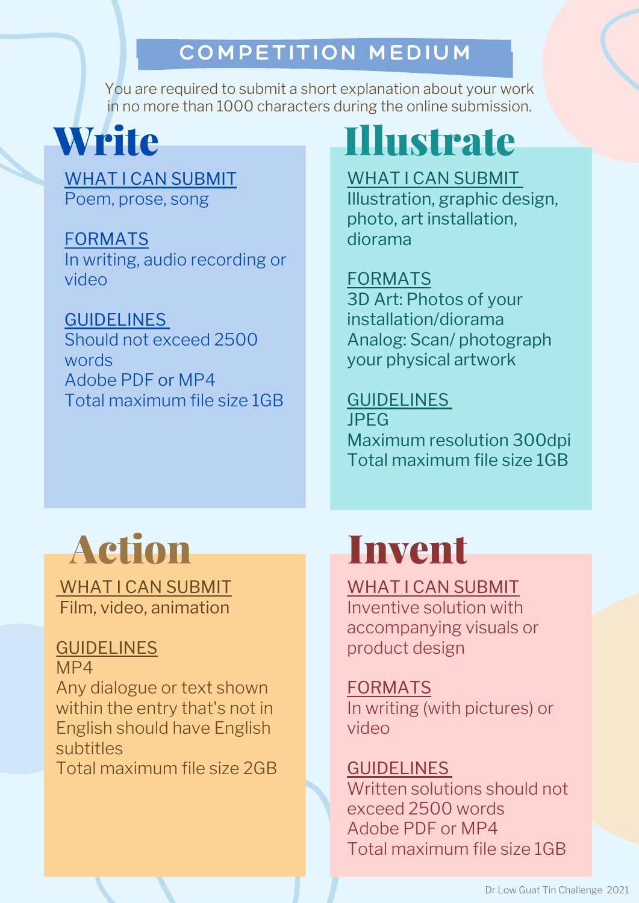## COMPETITION MEDIUM

You are required to submit a short explanation about your work in no more than 1000 characters during the online submission.

**Write** 

WHAT I CAN SUBMIT Poem, prose, song

FORMATS In writing, audio recording or video

GUIDELINES Should not exceed 2500 words Adobe PDF or MP4 Total maximum file size 1GB

# Illustrate

WHAT I CAN SUBMIT

Illustration, graphic design, photo, art installation, diorama

### FORMATS

3D Art: Photos of your installation/diorama Analog: Scan/ photograph your physical artwork

### GUIDELINES

JPEG Maximum resolution 300dpi Total maximum file size 1GB



WHAT I CAN SUBMIT Film, video, animation

### **GUIDELINES**

MP4

Any dialogue or text shown within the entry that's not in English should have English subtitles

Total maximum file size 2GB

# Invent

WHAT I CAN SUBMIT

Inventive solution with accompanying visuals or product design

FORMATS

In writing (with pictures) or video

GUIDELINES Written solutions should not exceed 2500 words Adobe PDF or MP4 Total maximum file size 1GB